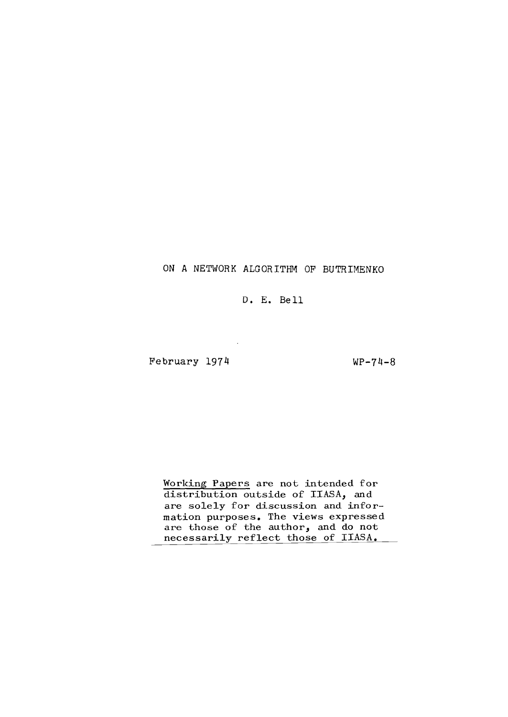# ON A NETWORK ALGORITHM OF BUTRIMENKO

D. E. Bell

 $\sim$   $\sim$ 

February 1974 WP-74-8

Working Papers are not intended for distribution outside of IIASA, and are solely for discussion and information purposes. The views expressed are those of the author, and do not necessarily reflect those of IIASA.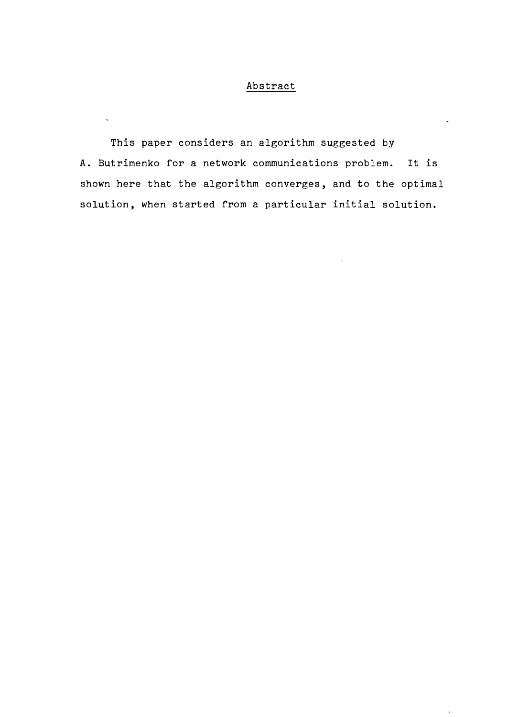#### Abstract

This paper considers an algorithm suggested by A. Butrimenko for <sup>a</sup> network communications problem. It is shown here that the algorithm converges, and to the optimal solution, when started from a particular initial solution.

 $\ddot{\phantom{1}}$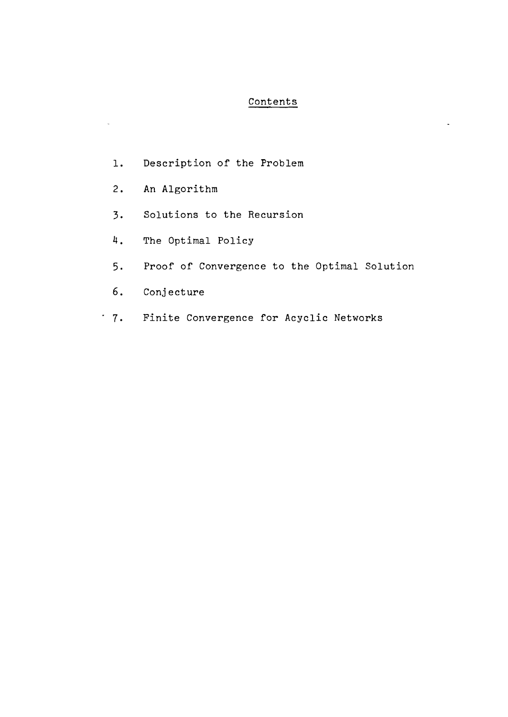# **Contents**

- 2. An Algorithm
- 3. Solutions to the Recursion
- 4. The Optimal Policy
- 5. Proof of Convergence to the Optimal Solution
- 6. Conjecture
- 7. Finite Convergence for Acyclic Networks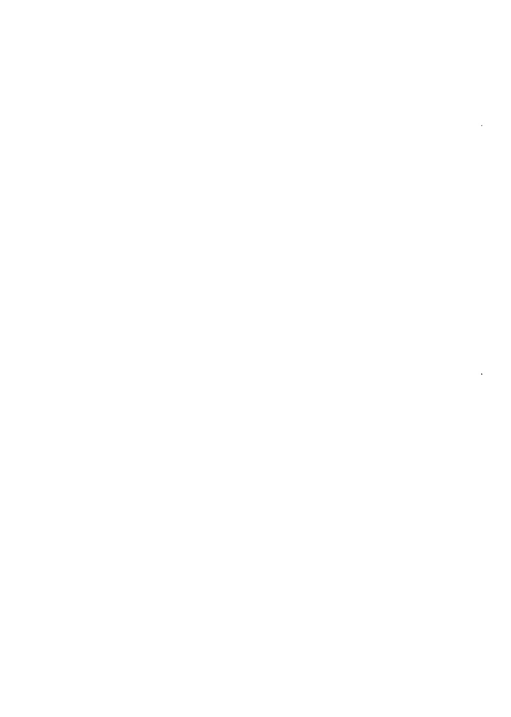$\epsilon$  $\star$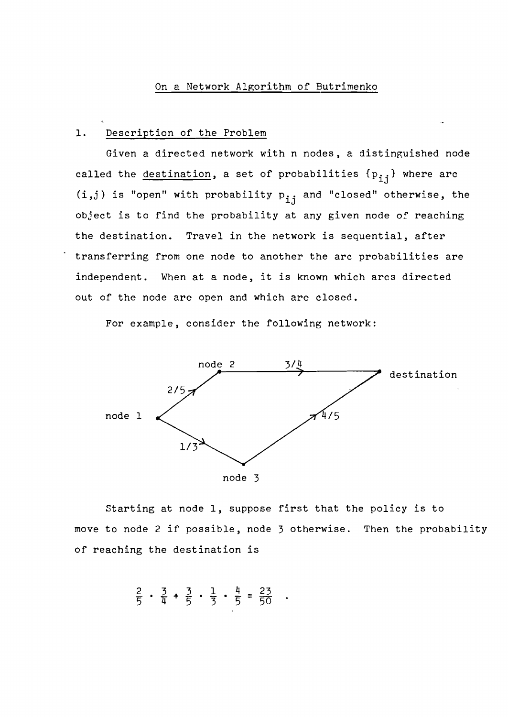#### On a Network Algorithm of Butrimenko

### 1. Description of the Problem

Given a directed network with n nodes, a distinguished node called the destination, a set of probabilities  $\{p_{i,j}\}\$  where arc (i,j) is "open" with probability  $p_{i,i}$  and "closed" otherwise, the object is to find the probability at any given node of reaching the destination. Travel in the network is sequential, after transferring from one node to another the arc probabilities are independent. When at <sup>a</sup> node, it is known which arcs directed out of the node are open and which are closed.

For example, consider the following network:



Starting at node 1, suppose first that the policy is to move to node <sup>2</sup> if possible, node <sup>3</sup> otherwise. Then the probability of reaching the destination is

$$
\frac{2}{5} \cdot \frac{3}{4} + \frac{3}{5} \cdot \frac{1}{3} \cdot \frac{4}{5} = \frac{23}{50}
$$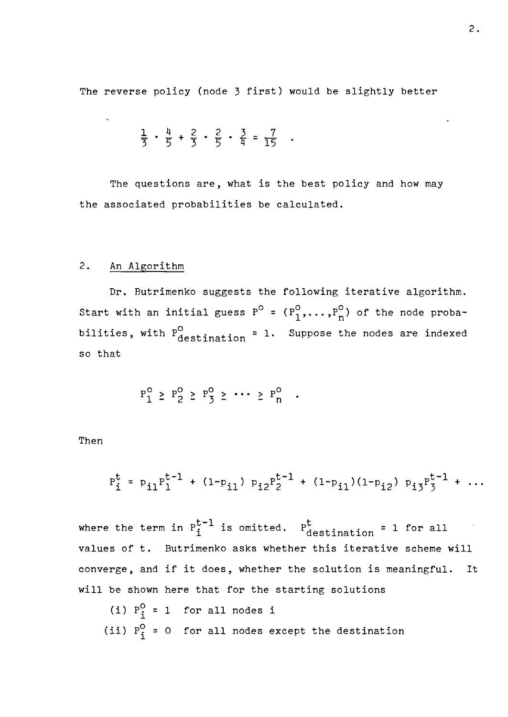The reverse policy (node <sup>3</sup> first) would be slightly better

$$
\frac{1}{5} \cdot \frac{4}{5} + \frac{2}{3} \cdot \frac{2}{5} \cdot \frac{3}{4} = \frac{7}{15}
$$

The questions are, what is the best policy and how may the associated probabilities be calculated.

### 2. An Algorithm

Dr. Butrimenko suggests the following iterative algorithm. Dr. Butrimenko suggests the following iterative algorithm.<br>Start with an initial guess  $P^O = (P_1^O, \ldots, P_n^O)$  of the node probabilities, with  $P_{\text{destination}}^{\text{O}}$  = 1. Suppose the nodes are indexed so that

$$
P_1^0 \ge P_2^0 \ge P_3^0 \ge \cdots \ge P_n^0
$$

Then

$$
P_i^t = p_{i1}P_1^{t-1} + (1-p_{i1}) p_{i2}P_2^{t-1} + (1-p_{i1})(1-p_{i2}) p_{i3}P_3^{t-1} + ...
$$

where the term in  $P_i^{t-1}$  is omitted.  $P_{\text{destination}}^t$  = 1 for all values of t. Butrimenko asks whether this iterative scheme will converge, and if it does, whether the solution is meaningful. It will be shown here that for the starting solutions

(i) 
$$
P_i^0 = 1
$$
 for all nodes i  
(ii)  $P_i^0 = 0$  for all nodes except the destination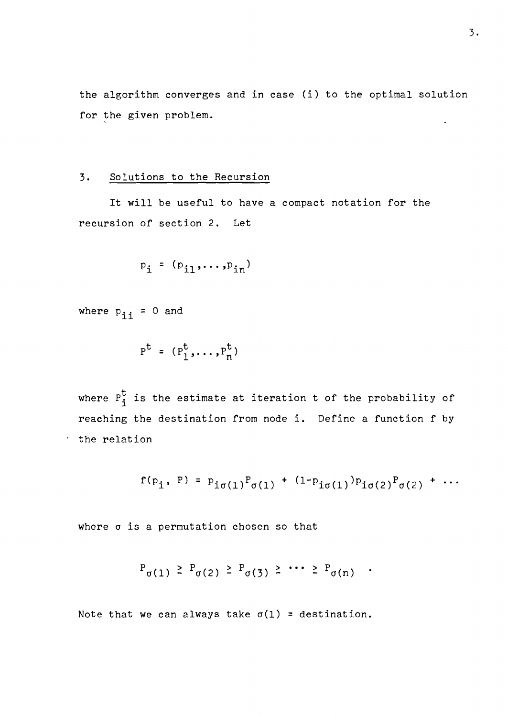the algorithm converges and in case (i) to the optimal solution for the given problem.  $\hat{\mathcal{L}}$ 

## 3. SOlutions to the Recursion

It will be useful to have a compact notation for the recursion of section 2. Let

$$
\mathbf{p}_i = (\mathbf{p}_{i1}, \dots, \mathbf{p}_{in})
$$

where  $p_{\texttt{ii}}$  = 0 and

$$
P^{\mathbf{t}} = (P_1^{\mathbf{t}}, \dots, P_n^{\mathbf{t}})
$$

where  $P^{t}_{i}$  is the estimate at iteration t of the probability of reaching the destination from node i. Define <sup>a</sup> function <sup>f</sup> by the relation

$$
f(p_i, P) = p_{i\sigma(1)}P_{\sigma(1)} + (1-p_{i\sigma(1)})p_{i\sigma(2)}P_{\sigma(2)} + \cdots
$$

where  $\sigma$  is a permutation chosen so that

$$
P_{\sigma(1)} \geq P_{\sigma(2)} \geq P_{\sigma(3)} \geq \cdots \geq P_{\sigma(n)}
$$
.

Note that we can always take  $\sigma(1)$  = destination.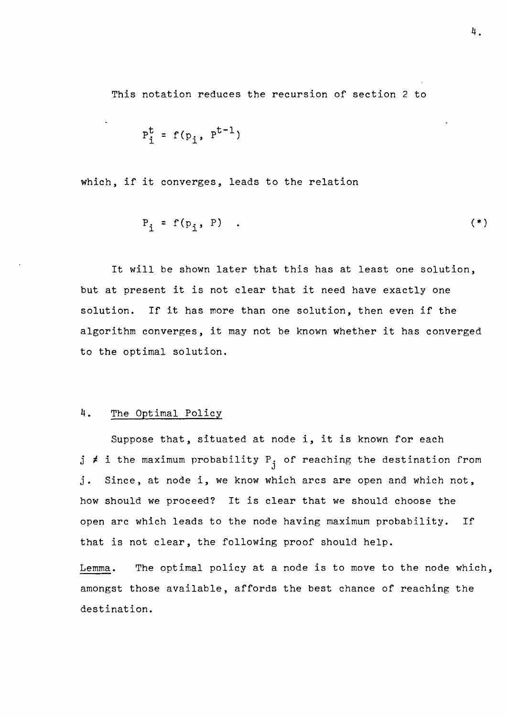This notation reduces the recursion of section 2 to

 $P_i^t = f(p_i, P^{t-1})$ 

which, if it converges, leads to the relation

$$
P_i = f(p_i, P) \qquad (*)
$$

It will be shown later that this has at least one solution, but at present it is not clear that it need have exactly one solution. If it has more than one solution, then even if the algorithm converges, it may not be known whether it has converged to the optimal solution.

# 4. The Optimal Policy

Suppose that, situated at node i, it is known for each  $j$   $\neq$  i the maximum probability  $P_j$  of reaching the destination from j. Since, at node i, we know which arcs are open and which not, how should we proceed? It is clear that we should choose the open arc which leads to the node having maximum probability. If that is not clear, the following proof should help.

Lemma. The optimal policy at a node is to move to the node which, amongst those available, affords the best chance of reaching the destination.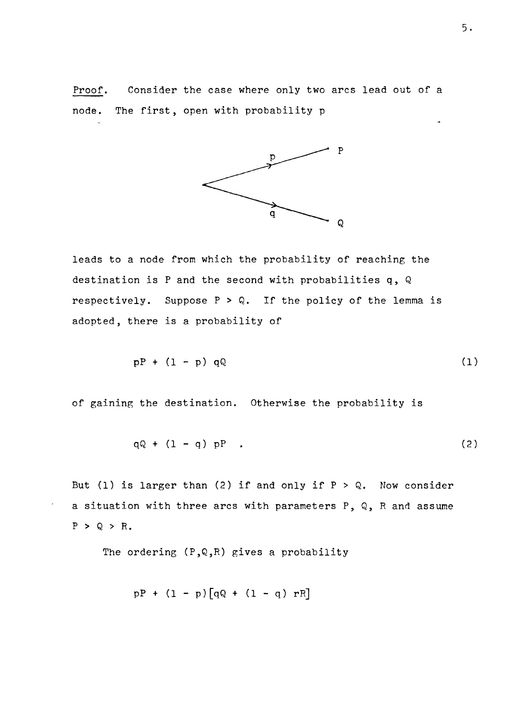Proof. Consider the case where only two arcs lead out of a node. The first, open with probability <sup>p</sup>



leads to a node from which the probability of reaching the destination is P and the second with probabilities q, Q respectively. Suppose  $P > Q$ . If the policy of the lemma is adopted, there is a probability of

$$
pP + (1 - p) qQ \qquad (1)
$$

of gaining the destination. Otherwise the probability is

$$
qQ + (1 - q) pP . \t\t(2)
$$

But (1) is larger than (2) if and only if  $P > Q$ . Now consider a situation with three arcs with parameters P, Q, R and assume  $P > Q > R.$ 

The ordering  $(P,Q,R)$  gives a probability

$$
pP + (1 - p)[qQ + (1 - q) rR]
$$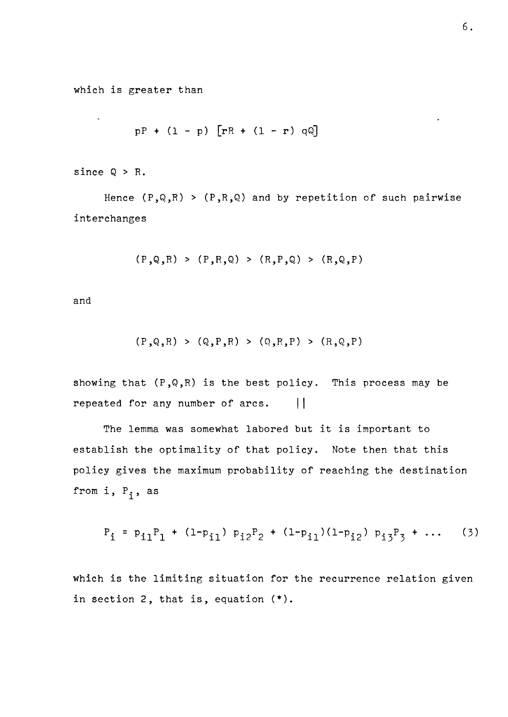which is greater than

$$
pP + (1 - p) [rR + (1 - r) qQ]
$$

since Q > R.

 $\mathbf{q}$ 

Hence  $(P,Q,R) > (P,R,Q)$  and by repetition of such pairwise interchanges

$$
(P,Q,R) > (P,R,Q) > (R,P,Q) > (R,Q,P)
$$

and

$$
(P,Q,R) > (Q,P,R) > (Q,R,P) > (R,Q,P)
$$

showing that  $(P,Q,R)$  is the best policy. This process may be repeated for any number of arcs.  $||$ 

The lemma was somewhat labored but it is important to establish the optimality of that policy. Note then that this policy gives the maximum probability of reaching the destination from i, P<sub>i</sub>, as

$$
P_i = p_{i1}P_1 + (1-p_{i1}) p_{i2}P_2 + (1-p_{i1})(1-p_{i2}) p_{i3}P_3 + \dots
$$
 (3)

which is the limiting situation for the recurrence relation given in section 2, that is, equation (\*).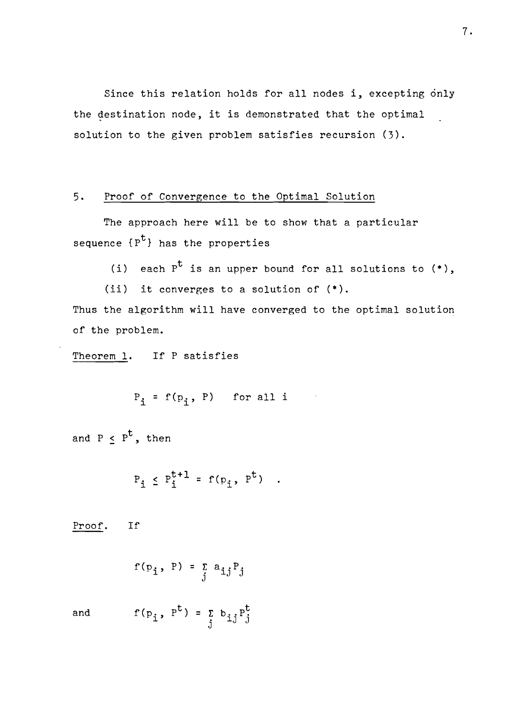Since this relation holds for all nodes i, excepting only the destination node, it is demonstrated that the optimal solution to the given problem satisfies recursion (3).

## 5. Proof of Convergence to the Optimal Solution

The approach here will be to show that a particular sequence  $\{P^t\}$  has the properties

(i) each  $P^t$  is an upper bound for all solutions to  $(*)$ ,

(ii) it converges to <sup>a</sup> solution of (\*).

Thus the algorithm will have converged to the optimal solution of the problem.

Theorem 1. If <sup>P</sup> satisfies

$$
P_i = f(p_i, P)
$$
 for all i

and  $P \le P^t$ , then

$$
P_i \le P_i^{t+1} = f(p_i, P^t)
$$

Proof. If

$$
f(p_i, P) = \sum_{j} a_{ij} P_j
$$

and  $f(p_i, p^t) = \sum b_{i,j} p_{i}^t$  $\mathtt{i}$ ,  $\mathtt{j}$   $\mathtt{j}$   $\mathtt{j}$   $\mathtt{j}$   $\mathtt{j}$   $\mathtt{j}$   $\mathtt{j}$   $\mathtt{j}$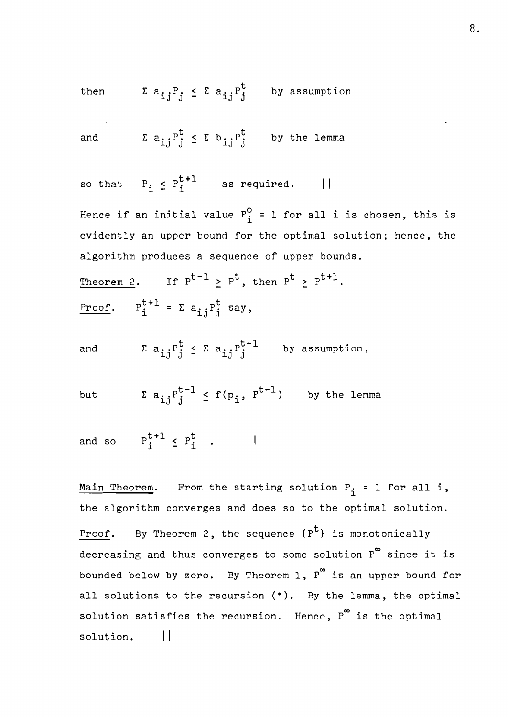then 
$$
\Sigma a_{ij}P_j \leq \Sigma a_{ij}P_j^t
$$
 by assumption

and  $\sum a_{ij} P_j^t \leq \sum b_{ij} P_j^t$  by the lemma

so that  $P_i \leq P_i^{\tau+1}$  as required. ||

Hence if an initial value  $P^O_{\bm{i}}$  = 1 for all i is chosen, this is evidently an upper bound for the optimal solution; hence, the algorithm produces a sequence of upper bounds.

Theorem 2. If 
$$
P^{t-1} \ge P^t
$$
, then  $P^t \ge P^{t+1}$ .  
\nProof.  $P_i^{t+1} = \sum a_{ij} P_j^t$  say,

and 
$$
\Sigma a_{ij}P_j^t \leq \Sigma a_{ij}P_j^{t-1}
$$
 by assumption,

but 
$$
\Sigma a_{ij} p_j^{t-1} \le f(p_i, p^{t-1})
$$
 by the lemma

and so 
$$
P_i^{t+1} \le P_i^t
$$
.

Main Theorem. From the starting solution  $P_i = 1$  for all i, the algorithm converges and does so to the optimal solution. Proof. By Theorem 2, the sequence  $\{P^t\}$  is monotonically decreasing and thus converges to some solution  $P^{\infty}$  since it is bounded below by zero. By Theorem 1,  $P^{\infty}$  is an upper bound for all solutions to the recursion (\*). By the lemma, the optimal solution satisfies the recursion. Hence,  $P^{\infty}$  is the optimal solution. **II**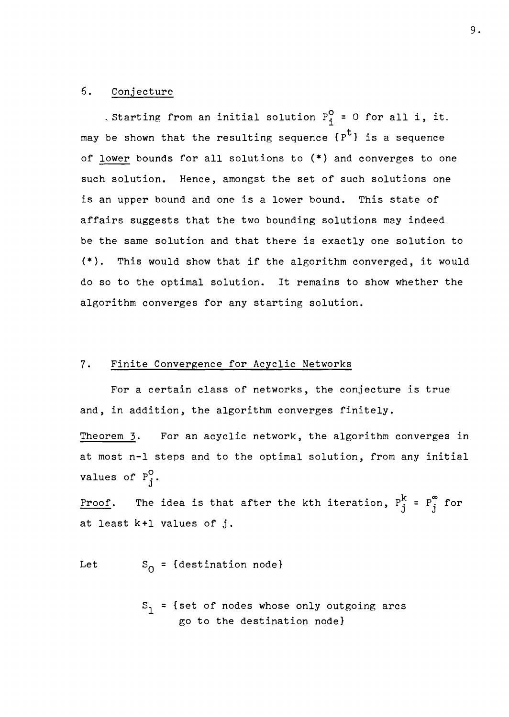# 6. Conjecture

. Starting from an initial solution  $P_i^O = 0$  for all i, it. may be shown that the resulting sequence  $\{P^t\}$  is a sequence of lower bounds for all solutions to (\*) and converges to one such solution. Hence, amongst the set of such solutions one is an upper bound and one is a lower bound. This state of affairs suggests that the two bounding solutions may indeed be the same solution and that there is exactly one solution to (\*). This would show that if the algorithm converged, it would do so to the optimal solution. It remains to show whether the algorithm converges for any starting solution.

### 7. Finite Convergence for Acyclic Networks

For a certain class of networks, the conjecture is true and, in addition, the algorithm converges finitely.

Theorem 3. For an acyclic network, the algorithm converges in at most n-l steps and to the optimal solution, from any initial values of  $P^O_j$ .

Proof. The idea is that after the kth iteration,  $P_{\textbf{j}}^{\textbf{k}}$  =  $P_{\textbf{j}}^{\textbf{\infty}}$  for at least k+l values of j.

Let  $S_0 = \{ \text{destination node} \}$ 

 $S_1$  = {set of nodes whose only outgoing arcs go to the destination node}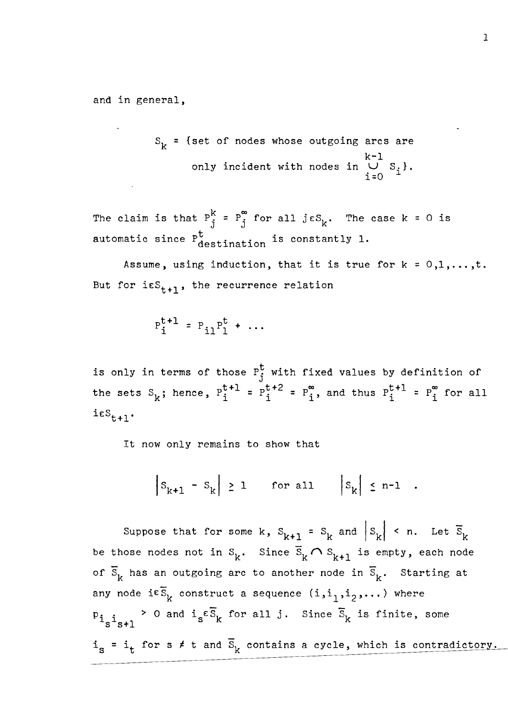and in general,

$$
S_k = \{ set of nodes whose outgoing arcs are\nonly incident with nodes in  $\bigcup_{i=0}^{k-1} S_i$ .
$$

The claim is that  $P_j^k = P_j^{\infty}$  for all  $j \varepsilon S_k$ . The case k = 0 is automatic since  $P_{\text{destination}}^{\text{t}}$  is constantly 1.

Assume, using induction, that it is true for  $k = 0,1,...,t$ . But for  $ies_{t+1}$ , the recurrence relation

$$
P_i^{t+1} = P_{i1}P_1^t + \dots
$$

is only in terms of those  $P_i^{\dagger}$  with fixed values by definition of the sets  $S_k$ ; hence,  $P_i^{t+1} = P_i^{t+2} = P_i^{\infty}$ , and thus  $P_i^{t+1} = P_i^{\infty}$  for all  $i\epsilon S_{t+1}$ .

It now only remains to show that

$$
\left| \mathbf{S}_{k+1} - \mathbf{S}_k \right| \geq 1 \quad \text{for all} \quad \left| \mathbf{S}_k \right| \leq n-1 \quad .
$$

Suppose that for some k,  $S_{k+1} = S_k$  and  $|S_k| < n$ . Let  $\overline{S}_k$ be those nodes not in  $S_k$ . Since  $\overline{S}_k \cap S_{k+1}$  is empty, each node of  $\overline{S}_k$  has an outgoing arc to another node in  $\overline{S}_k$ . Starting at any node i $\epsilon \overline{s}_k$  construct a sequence  $(i, i_1, i_2, \dots)$  where  ${\rm p}_{\textbf{i}_S\textbf{i}_{S+1}}$  > 0 and  ${\rm i}_S\epsilon\overline{S}_k$  for all j. Since  $\overline{S}_k$  is finite, some  $i_{s}$  =  $i_{t}$  for s  $\neq$  t and  $\overline{s}_{k}$  contains a cycle, which is contradictory.